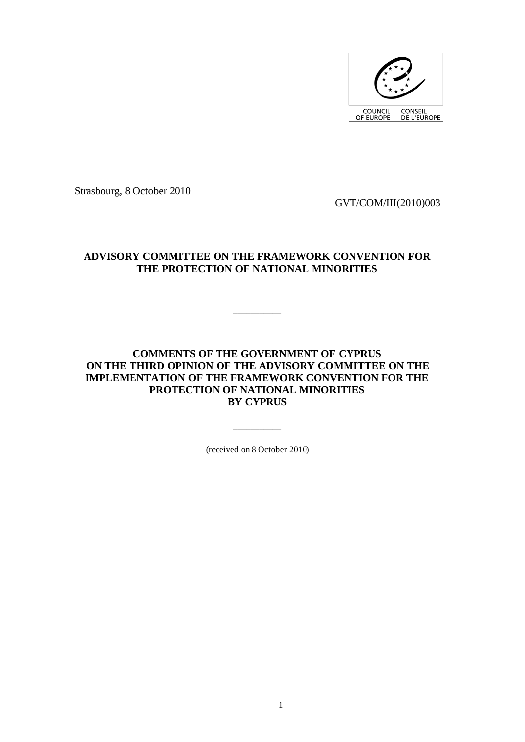

Strasbourg, 8 October 2010

GVT/COM/III(2010)003

## **ADVISORY COMMITTEE ON THE FRAMEWORK CONVENTION FOR THE PROTECTION OF NATIONAL MINORITIES**

\_\_\_\_\_\_\_\_\_\_\_

## **COMMENTS OF THE GOVERNMENT OF CYPRUS ON THE THIRD OPINION OF THE ADVISORY COMMITTEE ON THE IMPLEMENTATION OF THE FRAMEWORK CONVENTION FOR THE PROTECTION OF NATIONAL MINORITIES BY CYPRUS**

(received on 8 October 2010)

\_\_\_\_\_\_\_\_\_\_\_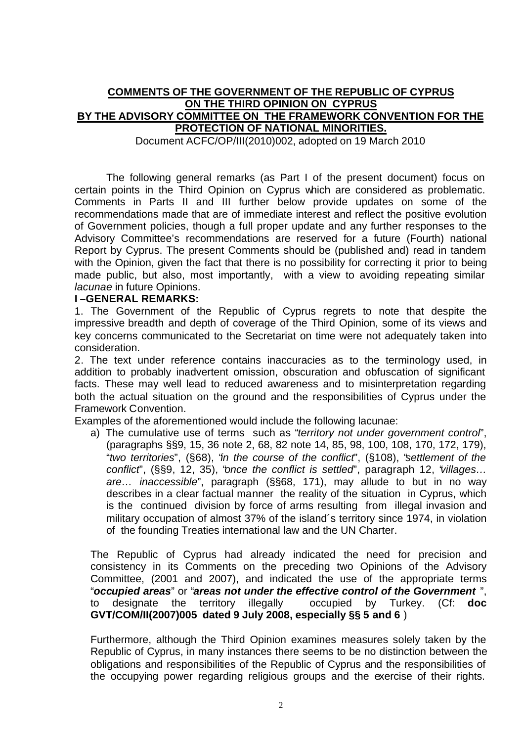## **COMMENTS OF THE GOVERNMENT OF THE REPUBLIC OF CYPRUS ON THE THIRD OPINION ON CYPRUS BY THE ADVISORY COMMITTEE ON THE FRAMEWORK CONVENTION FOR THE PROTECTION OF NATIONAL MINORITIES.**

Document ACFC/OP/III(2010)002, adopted on 19 March 2010

The following general remarks (as Part I of the present document) focus on certain points in the Third Opinion on Cyprus which are considered as problematic. Comments in Parts II and III further below provide updates on some of the recommendations made that are of immediate interest and reflect the positive evolution of Government policies, though a full proper update and any further responses to the Advisory Committee's recommendations are reserved for a future (Fourth) national Report by Cyprus. The present Comments should be (published and) read in tandem with the Opinion, given the fact that there is no possibility for correcting it prior to being made public, but also, most importantly, with a view to avoiding repeating similar *lacunae* in future Opinions.

#### **I –GENERAL REMARKS:**

1. The Government of the Republic of Cyprus regrets to note that despite the impressive breadth and depth of coverage of the Third Opinion, some of its views and key concerns communicated to the Secretariat on time were not adequately taken into consideration.

2. The text under reference contains inaccuracies as to the terminology used, in addition to probably inadvertent omission, obscuration and obfuscation of significant facts. These may well lead to reduced awareness and to misinterpretation regarding both the actual situation on the ground and the responsibilities of Cyprus under the Framework Convention.

Examples of the aforementioned would include the following lacunae:

a) The cumulative use of terms such as "*territory not under government control*", (paragraphs §§9, 15, 36 note 2, 68, 82 note 14, 85, 98, 100, 108, 170, 172, 179), "*two territories*", (§68), "*in the course of the conflict*", (§108), "*settlement of the conflict*", (§§9, 12, 35), "*once the conflict is settled*", paragraph 12, "*villages… are… inaccessible*", paragraph (§§68, 171), may allude to but in no way describes in a clear factual manner the reality of the situation in Cyprus, which is the continued division by force of arms resulting from illegal invasion and military occupation of almost 37% of the island´s territory since 1974, in violation of the founding Treaties international law and the UN Charter.

The Republic of Cyprus had already indicated the need for precision and consistency in its Comments on the preceding two Opinions of the Advisory Committee, (2001 and 2007), and indicated the use of the appropriate terms "*occupied areas*" or "*areas not under the effective control of the Government* ", to designate the territory illegally occupied by Turkey. (Cf: **doc GVT/COM/II(2007)005 dated 9 July 2008, especially §§ 5 and 6** )

Furthermore, although the Third Opinion examines measures solely taken by the Republic of Cyprus, in many instances there seems to be no distinction between the obligations and responsibilities of the Republic of Cyprus and the responsibilities of the occupying power regarding religious groups and the exercise of their rights.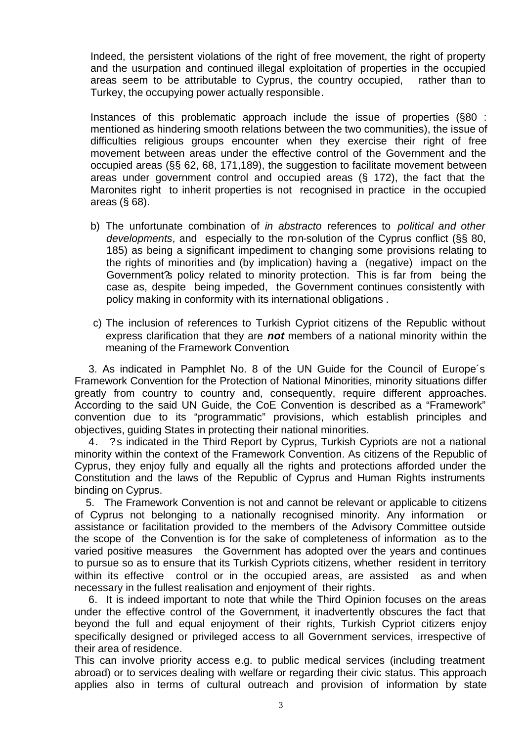Indeed, the persistent violations of the right of free movement, the right of property and the usurpation and continued illegal exploitation of properties in the occupied areas seem to be attributable to Cyprus, the country occupied, rather than to Turkey, the occupying power actually responsible.

Instances of this problematic approach include the issue of properties (§80 : mentioned as hindering smooth relations between the two communities), the issue of difficulties religious groups encounter when they exercise their right of free movement between areas under the effective control of the Government and the occupied areas (§§ 62, 68, 171,189), the suggestion to facilitate movement between areas under government control and occupied areas (§ 172), the fact that the Maronites right to inherit properties is not recognised in practice in the occupied areas (§ 68).

- b) The unfortunate combination of *in abstracto* references to *political and other*  developments, and especially to the ron-solution of the Cyprus conflict (§§ 80, 185) as being a significant impediment to changing some provisions relating to the rights of minorities and (by implication) having a (negative) impact on the Government?s policy related to minority protection. This is far from being the case as, despite being impeded, the Government continues consistently with policy making in conformity with its international obligations .
- c) The inclusion of references to Turkish Cypriot citizens of the Republic without express clarification that they are *not* members of a national minority within the meaning of the Framework Convention.

 3. As indicated in Pamphlet No. 8 of the UN Guide for the Council of Europe´s Framework Convention for the Protection of National Minorities, minority situations differ greatly from country to country and, consequently, require different approaches. According to the said UN Guide, the CoE Convention is described as a "Framework" convention due to its "programmatic" provisions, which establish principles and objectives, guiding States in protecting their national minorities.

 4. ?s indicated in the Third Report by Cyprus, Turkish Cypriots are not a national minority within the context of the Framework Convention. As citizens of the Republic of Cyprus, they enjoy fully and equally all the rights and protections afforded under the Constitution and the laws of the Republic of Cyprus and Human Rights instruments binding on Cyprus.

 5. The Framework Convention is not and cannot be relevant or applicable to citizens of Cyprus not belonging to a nationally recognised minority. Any information or assistance or facilitation provided to the members of the Advisory Committee outside the scope of the Convention is for the sake of completeness of information as to the varied positive measures the Government has adopted over the years and continues to pursue so as to ensure that its Turkish Cypriots citizens, whether resident in territory within its effective control or in the occupied areas, are assisted as and when necessary in the fullest realisation and enjoyment of their rights.

 6. It is indeed important to note that while the Third Opinion focuses on the areas under the effective control of the Government, it inadvertently obscures the fact that beyond the full and equal enjoyment of their rights, Turkish Cypriot citizens enjoy specifically designed or privileged access to all Government services, irrespective of their area of residence.

This can involve priority access e.g. to public medical services (including treatment abroad) or to services dealing with welfare or regarding their civic status. This approach applies also in terms of cultural outreach and provision of information by state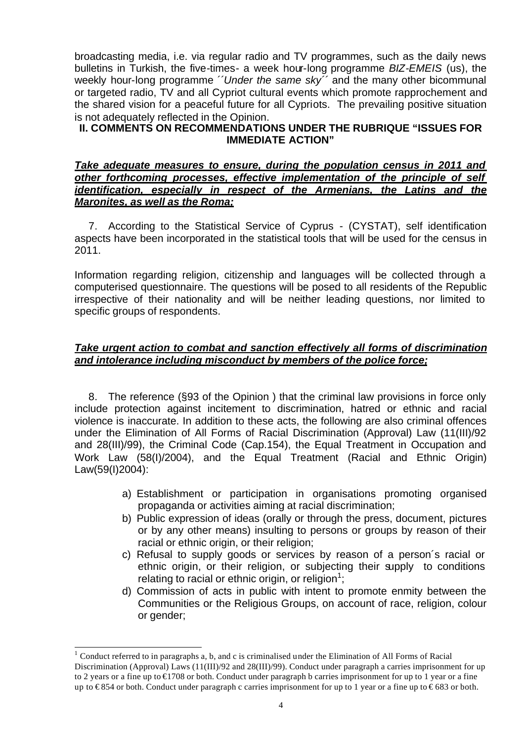broadcasting media, i.e. via regular radio and TV programmes, such as the daily news bulletins in Turkish, the five-times- a week hour-long programme *BIZ-EMEIS* (us), the weekly hour-long programme ´´*Under the same sky´´* and the many other bicommunal or targeted radio, TV and all Cypriot cultural events which promote rapprochement and the shared vision for a peaceful future for all Cypriots. The prevailing positive situation is not adequately reflected in the Opinion.

## **II. COMMENTS ON RECOMMENDATIONS UNDER THE RUBRIQUE "ISSUES FOR IMMEDIATE ACTION"**

### *Take adequate measures to ensure, during the population census in 2011 and other forthcoming processes, effective implementation of the principle of self identification, especially in respect of the Armenians, the Latins and the Maronites, as well as the Roma;*

 7. According to the Statistical Service of Cyprus - (CYSTAT), self identification aspects have been incorporated in the statistical tools that will be used for the census in 2011.

Information regarding religion, citizenship and languages will be collected through a computerised questionnaire. The questions will be posed to all residents of the Republic irrespective of their nationality and will be neither leading questions, nor limited to specific groups of respondents.

# *Take urgent action to combat and sanction effectively all forms of discrimination and intolerance including misconduct by members of the police force;*

 8. The reference (§93 of the Opinion ) that the criminal law provisions in force only include protection against incitement to discrimination, hatred or ethnic and racial violence is inaccurate. In addition to these acts, the following are also criminal offences under the Elimination of All Forms of Racial Discrimination (Approval) Law (11(III)/92 and 28(III)/99), the Criminal Code (Cap.154), the Equal Treatment in Occupation and Work Law (58(I)/2004), and the Equal Treatment (Racial and Ethnic Origin) Law(59(I)2004):

- a) Establishment or participation in organisations promoting organised propaganda or activities aiming at racial discrimination;
- b) Public expression of ideas (orally or through the press, document, pictures or by any other means) insulting to persons or groups by reason of their racial or ethnic origin, or their religion;
- c) Refusal to supply goods or services by reason of a person´s racial or ethnic origin, or their religion, or subjecting their supply to conditions relating to racial or ethnic origin, or religion<sup>1</sup>;
- d) Commission of acts in public with intent to promote enmity between the Communities or the Religious Groups, on account of race, religion, colour or gender;

l

 $1$  Conduct referred to in paragraphs a, b, and c is criminalised under the Elimination of All Forms of Racial Discrimination (Approval) Laws (11(III)/92 and 28(III)/99). Conduct under paragraph a carries imprisonment for up to 2 years or a fine up to €1708 or both. Conduct under paragraph b carries imprisonment for up to 1 year or a fine up to  $\epsilon$ 854 or both. Conduct under paragraph c carries imprisonment for up to 1 year or a fine up to  $\epsilon$ 683 or both.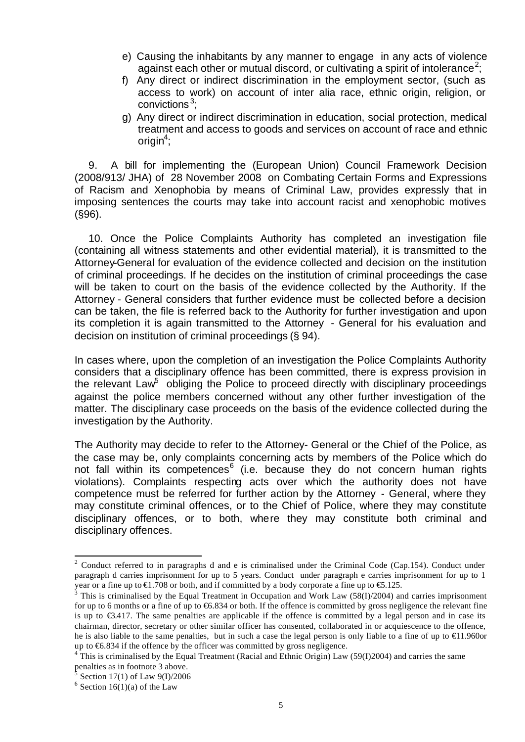- e) Causing the inhabitants by any manner to engage in any acts of violence against each other or mutual discord, or cultivating a spirit of intolerance<sup>2</sup>;
- f) Any direct or indirect discrimination in the employment sector, (such as access to work) on account of inter alia race, ethnic origin, religion, or convictions<sup>3</sup>;
- g) Any direct or indirect discrimination in education, social protection, medical treatment and access to goods and services on account of race and ethnic origin<sup>4</sup>;

 9. A bill for implementing the (European Union) Council Framework Decision (2008/913/ JHA) of 28 November 2008 on Combating Certain Forms and Expressions of Racism and Xenophobia by means of Criminal Law, provides expressly that in imposing sentences the courts may take into account racist and xenophobic motives (§96).

 10. Once the Police Complaints Authority has completed an investigation file (containing all witness statements and other evidential material), it is transmitted to the Attorney-General for evaluation of the evidence collected and decision on the institution of criminal proceedings. If he decides on the institution of criminal proceedings the case will be taken to court on the basis of the evidence collected by the Authority. If the Attorney - General considers that further evidence must be collected before a decision can be taken, the file is referred back to the Authority for further investigation and upon its completion it is again transmitted to the Attorney - General for his evaluation and decision on institution of criminal proceedings (§ 94).

In cases where, upon the completion of an investigation the Police Complaints Authority considers that a disciplinary offence has been committed, there is express provision in the relevant  $\text{Law}^5$  obliging the Police to proceed directly with disciplinary proceedings against the police members concerned without any other further investigation of the matter. The disciplinary case proceeds on the basis of the evidence collected during the investigation by the Authority.

The Authority may decide to refer to the Attorney- General or the Chief of the Police, as the case may be, only complaints concerning acts by members of the Police which do not fall within its competences<sup>6</sup> (i.e. because they do not concern human rights violations). Complaints respecting acts over which the authority does not have competence must be referred for further action by the Attorney - General, where they may constitute criminal offences, or to the Chief of Police, where they may constitute disciplinary offences, or to both, where they may constitute both criminal and disciplinary offences.

l

<sup>&</sup>lt;sup>2</sup> Conduct referred to in paragraphs d and e is criminalised under the Criminal Code (Cap.154). Conduct under paragraph d carries imprisonment for up to 5 years. Conduct under paragraph e carries imprisonment for up to 1 year or a fine up to  $\epsilon$ 1.708 or both, and if committed by a body corporate a fine up to  $\epsilon$ 5.125.

 $3$  This is criminalised by the Equal Treatment in Occupation and Work Law (58(I)/2004) and carries imprisonment for up to 6 months or a fine of up to  $66.834$  or both. If the offence is committed by gross negligence the relevant fine is up to €3.417. The same penalties are applicable if the offence is committed by a legal person and in case its chairman, director, secretary or other similar officer has consented, collaborated in or acquiescence to the offence, he is also liable to the same penalties, but in such a case the legal person is only liable to a fine of up to €1.960or up to €6.834 if the offence by the officer was committed by gross negligence.

 $4$ <sup>T</sup>his is criminalised by the Equal Treatment (Racial and Ethnic Origin) Law (59(I)2004) and carries the same

penalties as in footnote 3 above.<br>  $5 \text{ Section } 17(1)$  of Level  $0(1)/2006$ Section 17(1) of Law 9(I)/2006

 $6$  Section 16(1)(a) of the Law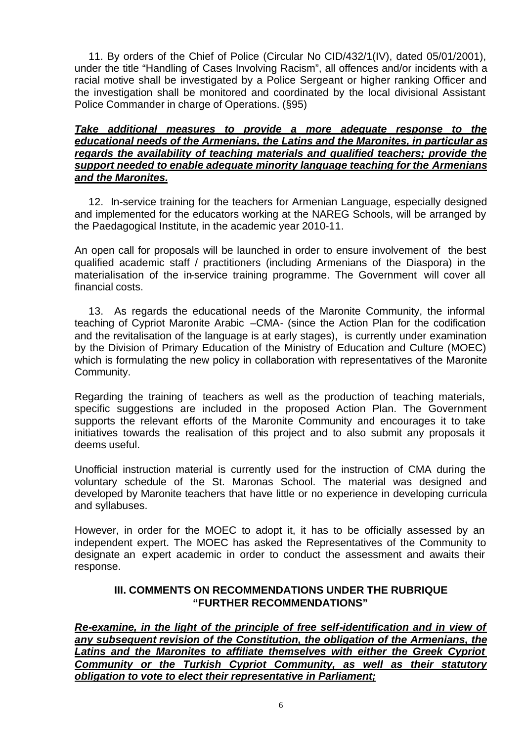11. By orders of the Chief of Police (Circular No CID/432/1(IV), dated 05/01/2001), under the title "Handling of Cases Involving Racism", all offences and/or incidents with a racial motive shall be investigated by a Police Sergeant or higher ranking Officer and the investigation shall be monitored and coordinated by the local divisional Assistant Police Commander in charge of Operations. (§95)

### *Take additional measures to provide a more adequate response to the educational needs of the Armenians, the Latins and the Maronites, in particular as regards the availability of teaching materials and qualified teachers; provide the support needed to enable adequate minority language teaching for the Armenians and the Maronites.*

 12. In-service training for the teachers for Armenian Language, especially designed and implemented for the educators working at the NAREG Schools, will be arranged by the Paedagogical Institute, in the academic year 2010-11.

An open call for proposals will be launched in order to ensure involvement of the best qualified academic staff / practitioners (including Armenians of the Diaspora) in the materialisation of the in-service training programme. The Government will cover all financial costs.

 13. As regards the educational needs of the Maronite Community, the informal teaching of Cypriot Maronite Arabic –CMA- (since the Action Plan for the codification and the revitalisation of the language is at early stages), is currently under examination by the Division of Primary Education of the Ministry of Education and Culture (MOEC) which is formulating the new policy in collaboration with representatives of the Maronite Community.

Regarding the training of teachers as well as the production of teaching materials, specific suggestions are included in the proposed Action Plan. The Government supports the relevant efforts of the Maronite Community and encourages it to take initiatives towards the realisation of this project and to also submit any proposals it deems useful.

Unofficial instruction material is currently used for the instruction of CMA during the voluntary schedule of the St. Maronas School. The material was designed and developed by Maronite teachers that have little or no experience in developing curricula and syllabuses.

However, in order for the MOEC to adopt it, it has to be officially assessed by an independent expert. The MOEC has asked the Representatives of the Community to designate an expert academic in order to conduct the assessment and awaits their response.

# **III. COMMENTS ON RECOMMENDATIONS UNDER THE RUBRIQUE "FURTHER RECOMMENDATIONS"**

*Re-examine, in the light of the principle of free self-identification and in view of any subsequent revision of the Constitution, the obligation of the Armenians, the*  **Latins and the Maronites to affiliate themselves with either the Greek Cypriot** *Community or the Turkish Cypriot Community, as well as their statutory obligation to vote to elect their representative in Parliament;*